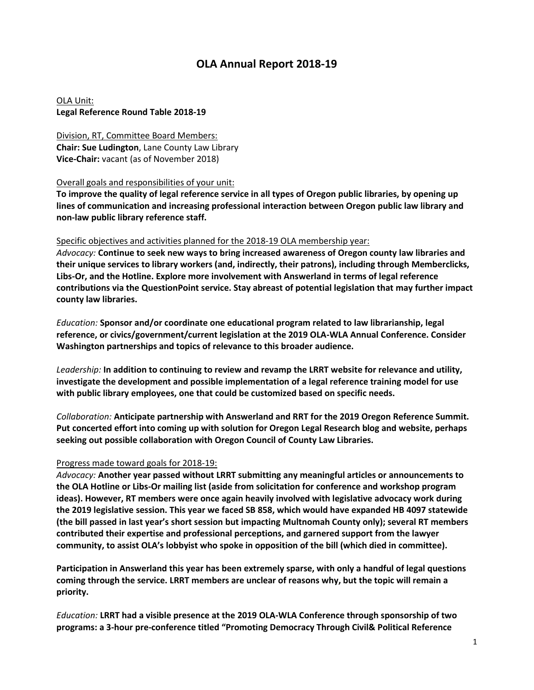# **OLA Annual Report 2018-19**

OLA Unit: **Legal Reference Round Table 2018-19**

Division, RT, Committee Board Members: **Chair: Sue Ludington**, Lane County Law Library **Vice-Chair:** vacant (as of November 2018)

### Overall goals and responsibilities of your unit:

**To improve the quality of legal reference service in all types of Oregon public libraries, by opening up lines of communication and increasing professional interaction between Oregon public law library and non-law public library reference staff.**

### Specific objectives and activities planned for the 2018-19 OLA membership year:

*Advocacy:* **Continue to seek new ways to bring increased awareness of Oregon county law libraries and their unique services to library workers (and, indirectly, their patrons), including through Memberclicks, Libs-Or, and the Hotline. Explore more involvement with Answerland in terms of legal reference contributions via the QuestionPoint service. Stay abreast of potential legislation that may further impact county law libraries.**

*Education:* **Sponsor and/or coordinate one educational program related to law librarianship, legal reference, or civics/government/current legislation at the 2019 OLA-WLA Annual Conference. Consider Washington partnerships and topics of relevance to this broader audience.**

*Leadership:* **In addition to continuing to review and revamp the LRRT website for relevance and utility, investigate the development and possible implementation of a legal reference training model for use with public library employees, one that could be customized based on specific needs.**

*Collaboration:* **Anticipate partnership with Answerland and RRT for the 2019 Oregon Reference Summit. Put concerted effort into coming up with solution for Oregon Legal Research blog and website, perhaps seeking out possible collaboration with Oregon Council of County Law Libraries.**

## Progress made toward goals for 2018-19:

*Advocacy:* **Another year passed without LRRT submitting any meaningful articles or announcements to the OLA Hotline or Libs-Or mailing list (aside from solicitation for conference and workshop program ideas). However, RT members were once again heavily involved with legislative advocacy work during the 2019 legislative session. This year we faced SB 858, which would have expanded HB 4097 statewide (the bill passed in last year's short session but impacting Multnomah County only); several RT members contributed their expertise and professional perceptions, and garnered support from the lawyer community, to assist OLA's lobbyist who spoke in opposition of the bill (which died in committee).**

**Participation in Answerland this year has been extremely sparse, with only a handful of legal questions coming through the service. LRRT members are unclear of reasons why, but the topic will remain a priority.**

*Education:* **LRRT had a visible presence at the 2019 OLA-WLA Conference through sponsorship of two programs: a 3-hour pre-conference titled "Promoting Democracy Through Civil& Political Reference**